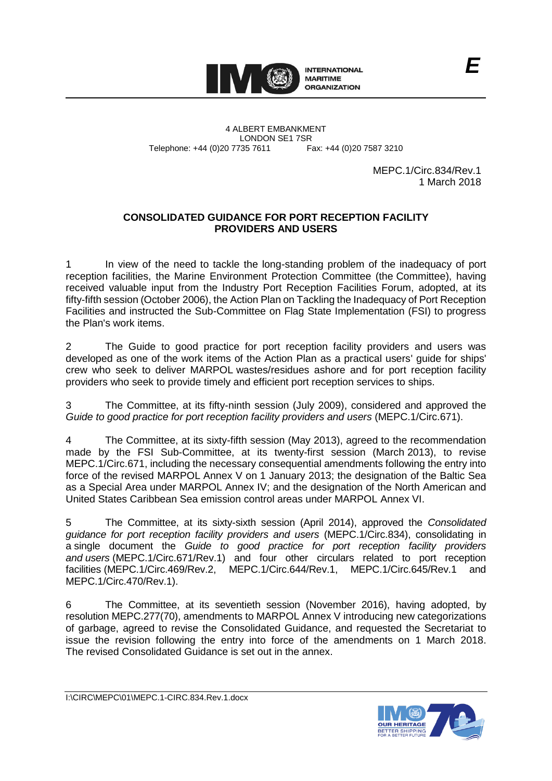

4 ALBERT EMBANKMENT Telephone: +44 (0)20 7735 7611

LONDON SE1 7SR<br>735 7611 Fax: +44 (0)20 7587 3210

MEPC.1/Circ.834/Rev.1 1 March 2018

### **CONSOLIDATED GUIDANCE FOR PORT RECEPTION FACILITY PROVIDERS AND USERS**

1 In view of the need to tackle the long-standing problem of the inadequacy of port reception facilities, the Marine Environment Protection Committee (the Committee), having received valuable input from the Industry Port Reception Facilities Forum, adopted, at its fifty-fifth session (October 2006), the Action Plan on Tackling the Inadequacy of Port Reception Facilities and instructed the Sub-Committee on Flag State Implementation (FSI) to progress the Plan's work items.

2 The Guide to good practice for port reception facility providers and users was developed as one of the work items of the Action Plan as a practical users' guide for ships' crew who seek to deliver MARPOL wastes/residues ashore and for port reception facility providers who seek to provide timely and efficient port reception services to ships.

3 The Committee, at its fifty-ninth session (July 2009), considered and approved the *Guide to good practice for port reception facility providers and users* (MEPC.1/Circ.671).

4 The Committee, at its sixty-fifth session (May 2013), agreed to the recommendation made by the FSI Sub-Committee, at its twenty-first session (March 2013), to revise MEPC.1/Circ.671, including the necessary consequential amendments following the entry into force of the revised MARPOL Annex V on 1 January 2013; the designation of the Baltic Sea as a Special Area under MARPOL Annex IV; and the designation of the North American and United States Caribbean Sea emission control areas under MARPOL Annex VI.

5 The Committee, at its sixty-sixth session (April 2014), approved the *Consolidated guidance for port reception facility providers and users* (MEPC.1/Circ.834), consolidating in a single document the *Guide to good practice for port reception facility providers and users* (MEPC.1/Circ.671/Rev.1) and four other circulars related to port reception facilities (MEPC.1/Circ.469/Rev.2, MEPC.1/Circ.644/Rev.1, MEPC.1/Circ.645/Rev.1 and MEPC.1/Circ.470/Rev.1).

6 The Committee, at its seventieth session (November 2016), having adopted, by resolution MEPC.277(70), amendments to MARPOL Annex V introducing new categorizations of garbage, agreed to revise the Consolidated Guidance, and requested the Secretariat to issue the revision following the entry into force of the amendments on 1 March 2018. The revised Consolidated Guidance is set out in the annex.

I:\CIRC\MEPC\01\MEPC.1-CIRC.834.Rev.1.docx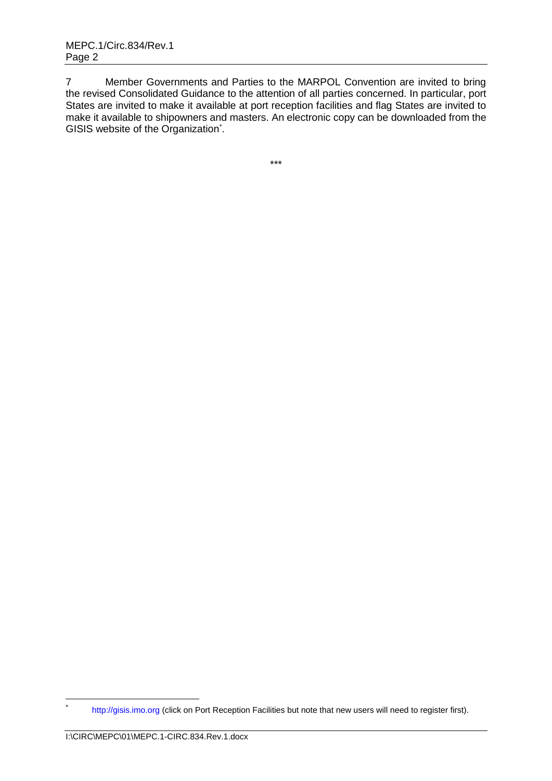7 Member Governments and Parties to the MARPOL Convention are invited to bring the revised Consolidated Guidance to the attention of all parties concerned. In particular, port States are invited to make it available at port reception facilities and flag States are invited to make it available to shipowners and masters. An electronic copy can be downloaded from the GISIS website of the Organization<sup>\*</sup>.

\*\*\*

<sup>\*</sup> [http://gisis.imo.org](http://gisis.imo.org/) (click on Port Reception Facilities but note that new users will need to register first).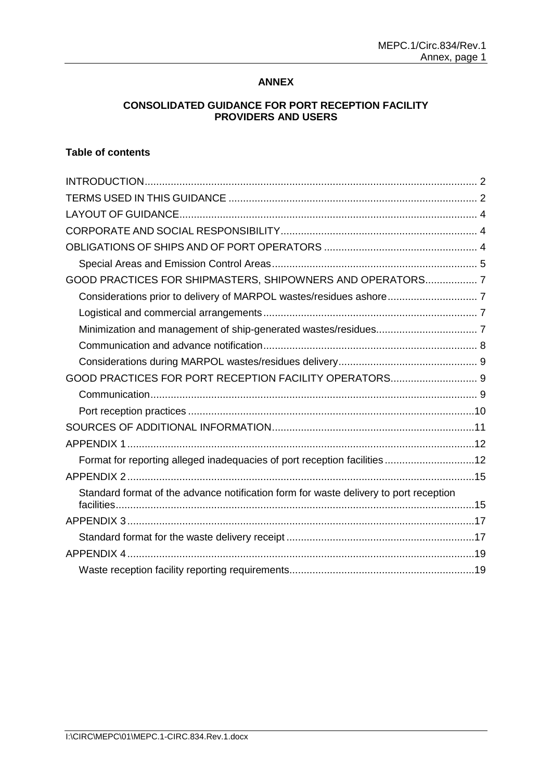### **ANNEX**

### **CONSOLIDATED GUIDANCE FOR PORT RECEPTION FACILITY PROVIDERS AND USERS**

# **Table of contents**

| GOOD PRACTICES FOR SHIPMASTERS, SHIPOWNERS AND OPERATORS 7                            |  |
|---------------------------------------------------------------------------------------|--|
|                                                                                       |  |
|                                                                                       |  |
|                                                                                       |  |
|                                                                                       |  |
|                                                                                       |  |
|                                                                                       |  |
|                                                                                       |  |
|                                                                                       |  |
|                                                                                       |  |
|                                                                                       |  |
| Format for reporting alleged inadequacies of port reception facilities12              |  |
|                                                                                       |  |
| Standard format of the advance notification form for waste delivery to port reception |  |
|                                                                                       |  |
|                                                                                       |  |
|                                                                                       |  |
|                                                                                       |  |
|                                                                                       |  |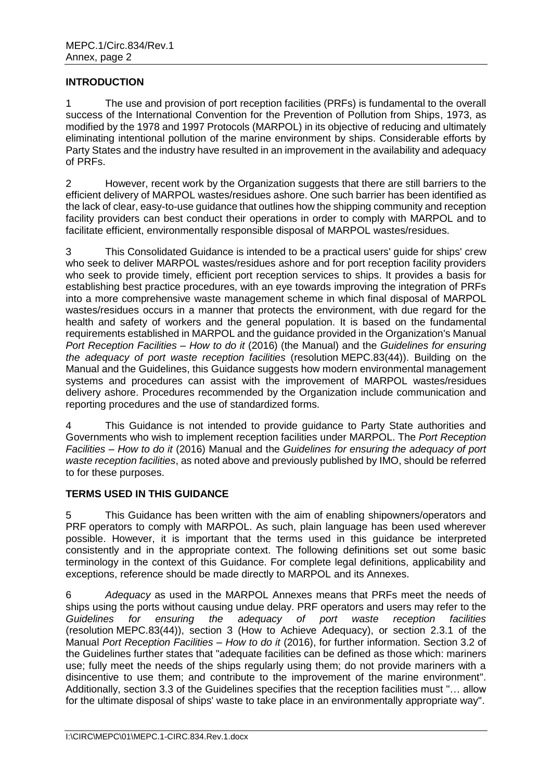### <span id="page-3-0"></span>**INTRODUCTION**

1 The use and provision of port reception facilities (PRFs) is fundamental to the overall success of the International Convention for the Prevention of Pollution from Ships, 1973, as modified by the 1978 and 1997 Protocols (MARPOL) in its objective of reducing and ultimately eliminating intentional pollution of the marine environment by ships. Considerable efforts by Party States and the industry have resulted in an improvement in the availability and adequacy of PRFs.

2 However, recent work by the Organization suggests that there are still barriers to the efficient delivery of MARPOL wastes/residues ashore. One such barrier has been identified as the lack of clear, easy-to-use guidance that outlines how the shipping community and reception facility providers can best conduct their operations in order to comply with MARPOL and to facilitate efficient, environmentally responsible disposal of MARPOL wastes/residues.

3 This Consolidated Guidance is intended to be a practical users' guide for ships' crew who seek to deliver MARPOL wastes/residues ashore and for port reception facility providers who seek to provide timely, efficient port reception services to ships. It provides a basis for establishing best practice procedures, with an eye towards improving the integration of PRFs into a more comprehensive waste management scheme in which final disposal of MARPOL wastes/residues occurs in a manner that protects the environment, with due regard for the health and safety of workers and the general population. It is based on the fundamental requirements established in MARPOL and the guidance provided in the Organization's Manual *Port Reception Facilities – How to do it* (2016) (the Manual) and the *Guidelines for ensuring the adequacy of port waste reception facilities* (resolution MEPC.83(44)). Building on the Manual and the Guidelines, this Guidance suggests how modern environmental management systems and procedures can assist with the improvement of MARPOL wastes/residues delivery ashore. Procedures recommended by the Organization include communication and reporting procedures and the use of standardized forms.

4 This Guidance is not intended to provide guidance to Party State authorities and Governments who wish to implement reception facilities under MARPOL. The *Port Reception Facilities – How to do it* (2016) Manual and the *Guidelines for ensuring the adequacy of port waste reception facilities*, as noted above and previously published by IMO, should be referred to for these purposes.

### <span id="page-3-1"></span>**TERMS USED IN THIS GUIDANCE**

5 This Guidance has been written with the aim of enabling shipowners/operators and PRF operators to comply with MARPOL. As such, plain language has been used wherever possible. However, it is important that the terms used in this guidance be interpreted consistently and in the appropriate context. The following definitions set out some basic terminology in the context of this Guidance. For complete legal definitions, applicability and exceptions, reference should be made directly to MARPOL and its Annexes.

6 *Adequacy* as used in the MARPOL Annexes means that PRFs meet the needs of ships using the ports without causing undue delay. PRF operators and users may refer to the *Guidelines for ensuring the adequacy of port waste reception facilities* (resolution MEPC.83(44)), section 3 (How to Achieve Adequacy), or section 2.3.1 of the Manual *Port Reception Facilities – How to do it* (2016), for further information. Section 3.2 of the Guidelines further states that "adequate facilities can be defined as those which: mariners use; fully meet the needs of the ships regularly using them; do not provide mariners with a disincentive to use them; and contribute to the improvement of the marine environment". Additionally, section 3.3 of the Guidelines specifies that the reception facilities must "… allow for the ultimate disposal of ships' waste to take place in an environmentally appropriate way".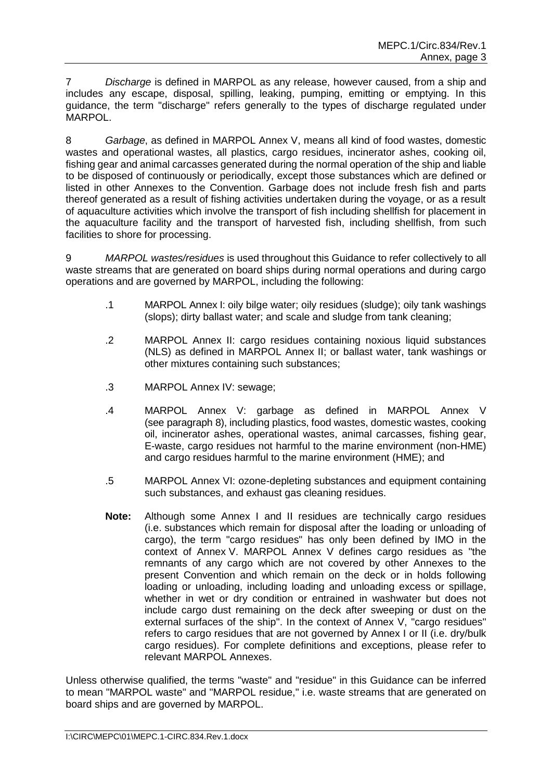7 *Discharge* is defined in MARPOL as any release, however caused, from a ship and includes any escape, disposal, spilling, leaking, pumping, emitting or emptying. In this guidance, the term "discharge" refers generally to the types of discharge regulated under MARPOL.

8 *Garbage*, as defined in MARPOL Annex V, means all kind of food wastes, domestic wastes and operational wastes, all plastics, cargo residues, incinerator ashes, cooking oil, fishing gear and animal carcasses generated during the normal operation of the ship and liable to be disposed of continuously or periodically, except those substances which are defined or listed in other Annexes to the Convention. Garbage does not include fresh fish and parts thereof generated as a result of fishing activities undertaken during the voyage, or as a result of aquaculture activities which involve the transport of fish including shellfish for placement in the aquaculture facility and the transport of harvested fish, including shellfish, from such facilities to shore for processing.

9 *MARPOL wastes/residues* is used throughout this Guidance to refer collectively to all waste streams that are generated on board ships during normal operations and during cargo operations and are governed by MARPOL, including the following:

- .1 MARPOL Annex I: oily bilge water; oily residues (sludge); oily tank washings (slops); dirty ballast water; and scale and sludge from tank cleaning;
- .2 MARPOL Annex II: cargo residues containing noxious liquid substances (NLS) as defined in MARPOL Annex II; or ballast water, tank washings or other mixtures containing such substances;
- .3 MARPOL Annex IV: sewage;
- .4 MARPOL Annex V: garbage as defined in MARPOL Annex V (see paragraph 8), including plastics, food wastes, domestic wastes, cooking oil, incinerator ashes, operational wastes, animal carcasses, fishing gear, E-waste, cargo residues not harmful to the marine environment (non-HME) and cargo residues harmful to the marine environment (HME); and
- .5 MARPOL Annex VI: ozone-depleting substances and equipment containing such substances, and exhaust gas cleaning residues.
- **Note:** Although some Annex I and II residues are technically cargo residues (i.e. substances which remain for disposal after the loading or unloading of cargo), the term "cargo residues" has only been defined by IMO in the context of Annex V. MARPOL Annex V defines cargo residues as "the remnants of any cargo which are not covered by other Annexes to the present Convention and which remain on the deck or in holds following loading or unloading, including loading and unloading excess or spillage, whether in wet or dry condition or entrained in washwater but does not include cargo dust remaining on the deck after sweeping or dust on the external surfaces of the ship". In the context of Annex V, "cargo residues" refers to cargo residues that are not governed by Annex I or II (i.e. dry/bulk cargo residues). For complete definitions and exceptions, please refer to relevant MARPOL Annexes.

Unless otherwise qualified, the terms "waste" and "residue" in this Guidance can be inferred to mean "MARPOL waste" and "MARPOL residue," i.e. waste streams that are generated on board ships and are governed by MARPOL.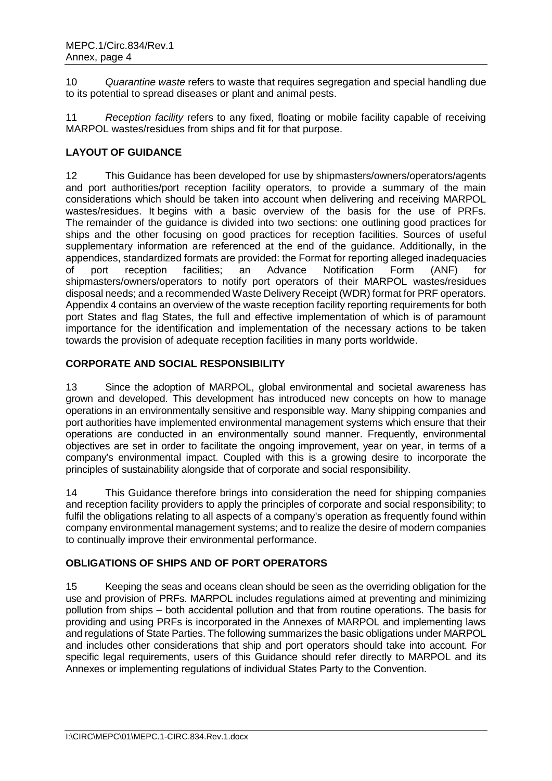10 *Quarantine waste* refers to waste that requires segregation and special handling due to its potential to spread diseases or plant and animal pests.

11 *Reception facility* refers to any fixed, floating or mobile facility capable of receiving MARPOL wastes/residues from ships and fit for that purpose.

# <span id="page-5-0"></span>**LAYOUT OF GUIDANCE**

12 This Guidance has been developed for use by shipmasters/owners/operators/agents and port authorities/port reception facility operators, to provide a summary of the main considerations which should be taken into account when delivering and receiving MARPOL wastes/residues. It begins with a basic overview of the basis for the use of PRFs. The remainder of the guidance is divided into two sections: one outlining good practices for ships and the other focusing on good practices for reception facilities. Sources of useful supplementary information are referenced at the end of the guidance. Additionally, in the appendices, standardized formats are provided: the Format for reporting alleged inadequacies of port reception facilities; an Advance Notification Form (ANF) for shipmasters/owners/operators to notify port operators of their MARPOL wastes/residues disposal needs; and a recommended Waste Delivery Receipt (WDR) format for PRF operators. Appendix 4 contains an overview of the waste reception facility reporting requirements for both port States and flag States, the full and effective implementation of which is of paramount importance for the identification and implementation of the necessary actions to be taken towards the provision of adequate reception facilities in many ports worldwide.

### <span id="page-5-1"></span>**CORPORATE AND SOCIAL RESPONSIBILITY**

13 Since the adoption of MARPOL, global environmental and societal awareness has grown and developed. This development has introduced new concepts on how to manage operations in an environmentally sensitive and responsible way. Many shipping companies and port authorities have implemented environmental management systems which ensure that their operations are conducted in an environmentally sound manner. Frequently, environmental objectives are set in order to facilitate the ongoing improvement, year on year, in terms of a company's environmental impact. Coupled with this is a growing desire to incorporate the principles of sustainability alongside that of corporate and social responsibility.

14 This Guidance therefore brings into consideration the need for shipping companies and reception facility providers to apply the principles of corporate and social responsibility; to fulfil the obligations relating to all aspects of a company's operation as frequently found within company environmental management systems; and to realize the desire of modern companies to continually improve their environmental performance.

### <span id="page-5-2"></span>**OBLIGATIONS OF SHIPS AND OF PORT OPERATORS**

15 Keeping the seas and oceans clean should be seen as the overriding obligation for the use and provision of PRFs. MARPOL includes regulations aimed at preventing and minimizing pollution from ships – both accidental pollution and that from routine operations. The basis for providing and using PRFs is incorporated in the Annexes of MARPOL and implementing laws and regulations of State Parties. The following summarizes the basic obligations under MARPOL and includes other considerations that ship and port operators should take into account. For specific legal requirements, users of this Guidance should refer directly to MARPOL and its Annexes or implementing regulations of individual States Party to the Convention.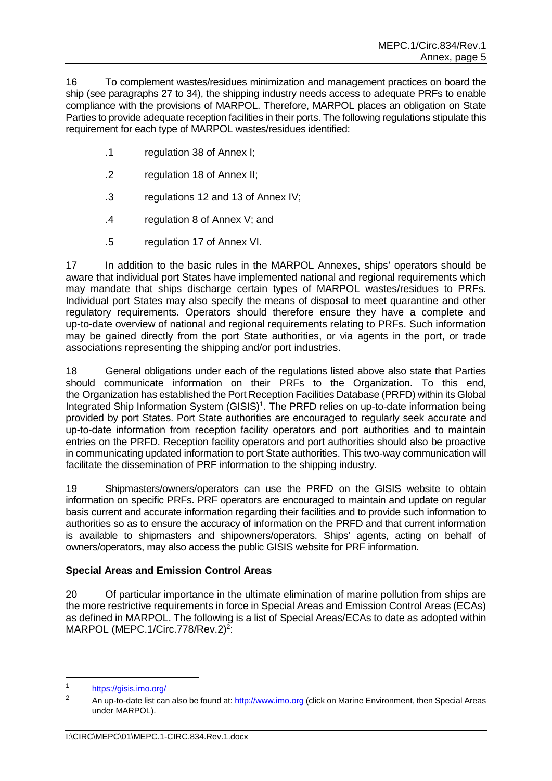16 To complement wastes/residues minimization and management practices on board the ship (see paragraphs 27 to 34), the shipping industry needs access to adequate PRFs to enable compliance with the provisions of MARPOL. Therefore, MARPOL places an obligation on State Parties to provide adequate reception facilities in their ports. The following regulations stipulate this requirement for each type of MARPOL wastes/residues identified:

- .1 regulation 38 of Annex I;
- .2 regulation 18 of Annex II;
- .3 regulations 12 and 13 of Annex IV;
- .4 regulation 8 of Annex V; and
- .5 regulation 17 of Annex VI.

17 In addition to the basic rules in the MARPOL Annexes, ships' operators should be aware that individual port States have implemented national and regional requirements which may mandate that ships discharge certain types of MARPOL wastes/residues to PRFs. Individual port States may also specify the means of disposal to meet quarantine and other regulatory requirements. Operators should therefore ensure they have a complete and up-to-date overview of national and regional requirements relating to PRFs. Such information may be gained directly from the port State authorities, or via agents in the port, or trade associations representing the shipping and/or port industries.

18 General obligations under each of the regulations listed above also state that Parties should communicate information on their PRFs to the Organization. To this end, the Organization has established the Port Reception Facilities Database (PRFD) within its Global Integrated Ship Information System (GISIS)<sup>1</sup>. The PRFD relies on up-to-date information being provided by port States. Port State authorities are encouraged to regularly seek accurate and up-to-date information from reception facility operators and port authorities and to maintain entries on the PRFD. Reception facility operators and port authorities should also be proactive in communicating updated information to port State authorities. This two-way communication will facilitate the dissemination of PRF information to the shipping industry.

19 Shipmasters/owners/operators can use the PRFD on the GISIS website to obtain information on specific PRFs. PRF operators are encouraged to maintain and update on regular basis current and accurate information regarding their facilities and to provide such information to authorities so as to ensure the accuracy of information on the PRFD and that current information is available to shipmasters and shipowners/operators. Ships' agents, acting on behalf of owners/operators, may also access the public GISIS website for PRF information.

# <span id="page-6-0"></span>**Special Areas and Emission Control Areas**

20 Of particular importance in the ultimate elimination of marine pollution from ships are the more restrictive requirements in force in Special Areas and Emission Control Areas (ECAs) as defined in MARPOL. The following is a list of Special Areas/ECAs to date as adopted within MARPOL (MEPC.1/Circ.778/Rev.2)<sup>2</sup>:

 $\frac{1}{1}$ <https://gisis.imo.org/>

<sup>&</sup>lt;sup>2</sup> An up-to-date list can also be found at: [http://www.imo.org](http://www.imo.org/) (click on Marine Environment, then Special Areas under MARPOL).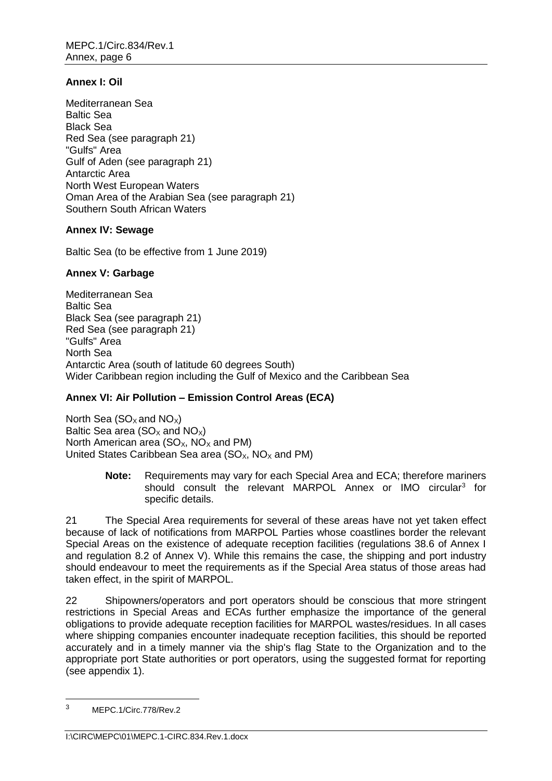### **Annex I: Oil**

Mediterranean Sea Baltic Sea Black Sea Red Sea (see paragraph 21) "Gulfs" Area Gulf of Aden (see paragraph 21) Antarctic Area North West European Waters Oman Area of the Arabian Sea (see paragraph 21) Southern South African Waters

### **Annex IV: Sewage**

Baltic Sea (to be effective from 1 June 2019)

### **Annex V: Garbage**

Mediterranean Sea Baltic Sea Black Sea (see paragraph 21) Red Sea (see paragraph 21) "Gulfs" Area North Sea Antarctic Area (south of latitude 60 degrees South) Wider Caribbean region including the Gulf of Mexico and the Caribbean Sea

# **Annex VI: Air Pollution – Emission Control Areas (ECA)**

North Sea ( $SO_{X}$  and  $NO_{X}$ ) Baltic Sea area ( $SO<sub>x</sub>$  and  $NO<sub>x</sub>$ ) North American area ( $SO_{X}$ , NO<sub>x</sub> and PM) United States Caribbean Sea area  $(SO<sub>x</sub>, NO<sub>x</sub>$  and PM)

> **Note:** Requirements may vary for each Special Area and ECA; therefore mariners should consult the relevant MARPOL Annex or IMO circular<sup>3</sup> for specific details.

21 The Special Area requirements for several of these areas have not yet taken effect because of lack of notifications from MARPOL Parties whose coastlines border the relevant Special Areas on the existence of adequate reception facilities (regulations 38.6 of Annex I and regulation 8.2 of Annex V). While this remains the case, the shipping and port industry should endeavour to meet the requirements as if the Special Area status of those areas had taken effect, in the spirit of MARPOL.

22 Shipowners/operators and port operators should be conscious that more stringent restrictions in Special Areas and ECAs further emphasize the importance of the general obligations to provide adequate reception facilities for MARPOL wastes/residues. In all cases where shipping companies encounter inadequate reception facilities, this should be reported accurately and in a timely manner via the ship's flag State to the Organization and to the appropriate port State authorities or port operators, using the suggested format for reporting (see appendix 1).

<sup>3</sup> MEPC.1/Circ.778/Rev.2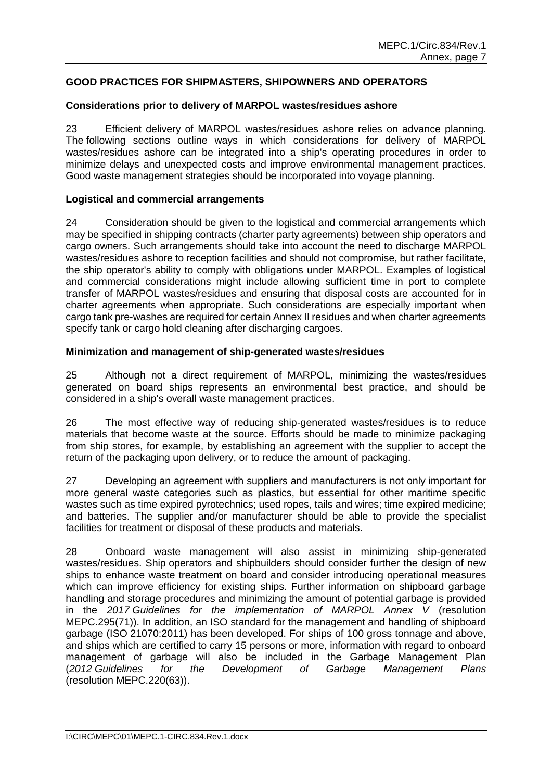## <span id="page-8-0"></span>**GOOD PRACTICES FOR SHIPMASTERS, SHIPOWNERS AND OPERATORS**

#### <span id="page-8-1"></span>**Considerations prior to delivery of MARPOL wastes/residues ashore**

23 Efficient delivery of MARPOL wastes/residues ashore relies on advance planning. The following sections outline ways in which considerations for delivery of MARPOL wastes/residues ashore can be integrated into a ship's operating procedures in order to minimize delays and unexpected costs and improve environmental management practices. Good waste management strategies should be incorporated into voyage planning.

#### <span id="page-8-2"></span>**Logistical and commercial arrangements**

24 Consideration should be given to the logistical and commercial arrangements which may be specified in shipping contracts (charter party agreements) between ship operators and cargo owners. Such arrangements should take into account the need to discharge MARPOL wastes/residues ashore to reception facilities and should not compromise, but rather facilitate, the ship operator's ability to comply with obligations under MARPOL. Examples of logistical and commercial considerations might include allowing sufficient time in port to complete transfer of MARPOL wastes/residues and ensuring that disposal costs are accounted for in charter agreements when appropriate. Such considerations are especially important when cargo tank pre-washes are required for certain Annex II residues and when charter agreements specify tank or cargo hold cleaning after discharging cargoes.

#### <span id="page-8-3"></span>**Minimization and management of ship-generated wastes/residues**

25 Although not a direct requirement of MARPOL, minimizing the wastes/residues generated on board ships represents an environmental best practice, and should be considered in a ship's overall waste management practices.

26 The most effective way of reducing ship-generated wastes/residues is to reduce materials that become waste at the source. Efforts should be made to minimize packaging from ship stores, for example, by establishing an agreement with the supplier to accept the return of the packaging upon delivery, or to reduce the amount of packaging.

27 Developing an agreement with suppliers and manufacturers is not only important for more general waste categories such as plastics, but essential for other maritime specific wastes such as time expired pyrotechnics; used ropes, tails and wires; time expired medicine; and batteries. The supplier and/or manufacturer should be able to provide the specialist facilities for treatment or disposal of these products and materials.

28 Onboard waste management will also assist in minimizing ship-generated wastes/residues. Ship operators and shipbuilders should consider further the design of new ships to enhance waste treatment on board and consider introducing operational measures which can improve efficiency for existing ships. Further information on shipboard garbage handling and storage procedures and minimizing the amount of potential garbage is provided in the *2017 Guidelines for the implementation of MARPOL Annex V* (resolution MEPC.295(71)). In addition, an ISO standard for the management and handling of shipboard garbage (ISO 21070:2011) has been developed. For ships of 100 gross tonnage and above, and ships which are certified to carry 15 persons or more, information with regard to onboard management of garbage will also be included in the Garbage Management Plan (*2012 Guidelines for the Development of Garbage Management Plans* (resolution MEPC.220(63)).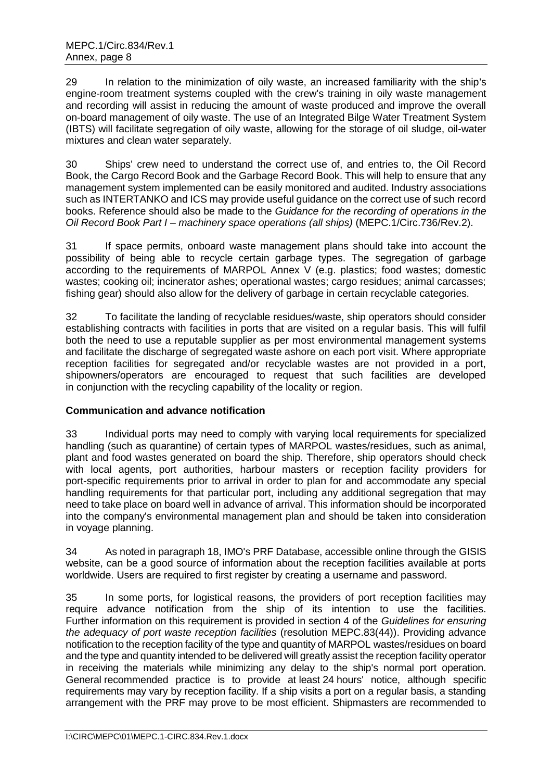29 In relation to the minimization of oily waste, an increased familiarity with the ship's engine-room treatment systems coupled with the crew's training in oily waste management and recording will assist in reducing the amount of waste produced and improve the overall on-board management of oily waste. The use of an Integrated Bilge Water Treatment System (IBTS) will facilitate segregation of oily waste, allowing for the storage of oil sludge, oil-water mixtures and clean water separately.

30 Ships' crew need to understand the correct use of, and entries to, the Oil Record Book, the Cargo Record Book and the Garbage Record Book. This will help to ensure that any management system implemented can be easily monitored and audited. Industry associations such as INTERTANKO and ICS may provide useful guidance on the correct use of such record books. Reference should also be made to the *Guidance for the recording of operations in the Oil Record Book Part I – machinery space operations (all ships)* (MEPC.1/Circ.736/Rev.2).

31 If space permits, onboard waste management plans should take into account the possibility of being able to recycle certain garbage types. The segregation of garbage according to the requirements of MARPOL Annex V (e.g. plastics; food wastes; domestic wastes; cooking oil; incinerator ashes; operational wastes; cargo residues; animal carcasses; fishing gear) should also allow for the delivery of garbage in certain recyclable categories.

32 To facilitate the landing of recyclable residues/waste, ship operators should consider establishing contracts with facilities in ports that are visited on a regular basis. This will fulfil both the need to use a reputable supplier as per most environmental management systems and facilitate the discharge of segregated waste ashore on each port visit. Where appropriate reception facilities for segregated and/or recyclable wastes are not provided in a port, shipowners/operators are encouraged to request that such facilities are developed in conjunction with the recycling capability of the locality or region.

# <span id="page-9-0"></span>**Communication and advance notification**

33 Individual ports may need to comply with varying local requirements for specialized handling (such as quarantine) of certain types of MARPOL wastes/residues, such as animal, plant and food wastes generated on board the ship. Therefore, ship operators should check with local agents, port authorities, harbour masters or reception facility providers for port-specific requirements prior to arrival in order to plan for and accommodate any special handling requirements for that particular port, including any additional segregation that may need to take place on board well in advance of arrival. This information should be incorporated into the company's environmental management plan and should be taken into consideration in voyage planning.

34 As noted in paragraph 18, IMO's PRF Database, accessible online through the GISIS website, can be a good source of information about the reception facilities available at ports worldwide. Users are required to first register by creating a username and password.

35 In some ports, for logistical reasons, the providers of port reception facilities may require advance notification from the ship of its intention to use the facilities. Further information on this requirement is provided in section 4 of the *Guidelines for ensuring the adequacy of port waste reception facilities* (resolution MEPC.83(44)). Providing advance notification to the reception facility of the type and quantity of MARPOL wastes/residues on board and the type and quantity intended to be delivered will greatly assist the reception facility operator in receiving the materials while minimizing any delay to the ship's normal port operation. General recommended practice is to provide at least 24 hours' notice, although specific requirements may vary by reception facility. If a ship visits a port on a regular basis, a standing arrangement with the PRF may prove to be most efficient. Shipmasters are recommended to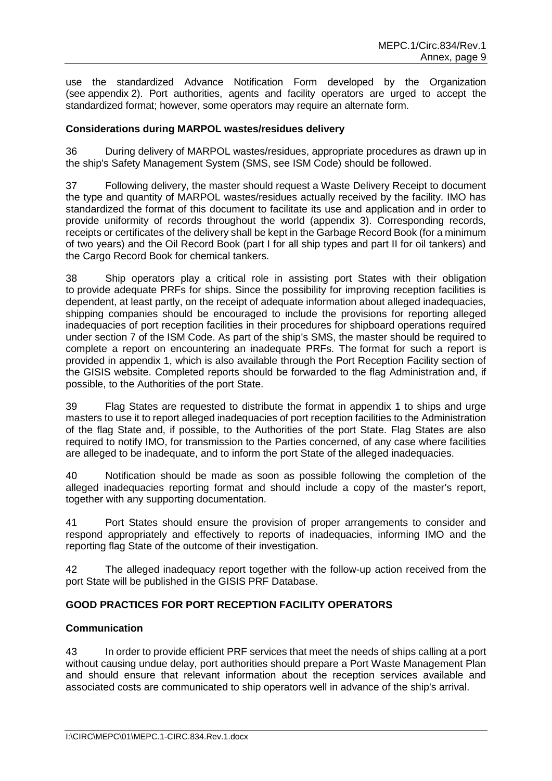use the standardized Advance Notification Form developed by the Organization (see appendix 2). Port authorities, agents and facility operators are urged to accept the standardized format; however, some operators may require an alternate form.

### <span id="page-10-0"></span>**Considerations during MARPOL wastes/residues delivery**

36 During delivery of MARPOL wastes/residues, appropriate procedures as drawn up in the ship's Safety Management System (SMS, see ISM Code) should be followed.

37 Following delivery, the master should request a Waste Delivery Receipt to document the type and quantity of MARPOL wastes/residues actually received by the facility. IMO has standardized the format of this document to facilitate its use and application and in order to provide uniformity of records throughout the world (appendix 3). Corresponding records, receipts or certificates of the delivery shall be kept in the Garbage Record Book (for a minimum of two years) and the Oil Record Book (part I for all ship types and part II for oil tankers) and the Cargo Record Book for chemical tankers.

38 Ship operators play a critical role in assisting port States with their obligation to provide adequate PRFs for ships. Since the possibility for improving reception facilities is dependent, at least partly, on the receipt of adequate information about alleged inadequacies, shipping companies should be encouraged to include the provisions for reporting alleged inadequacies of port reception facilities in their procedures for shipboard operations required under section 7 of the ISM Code. As part of the ship's SMS, the master should be required to complete a report on encountering an inadequate PRFs. The format for such a report is provided in appendix 1, which is also available through the Port Reception Facility section of the GISIS website. Completed reports should be forwarded to the flag Administration and, if possible, to the Authorities of the port State.

39 Flag States are requested to distribute the format in appendix 1 to ships and urge masters to use it to report alleged inadequacies of port reception facilities to the Administration of the flag State and, if possible, to the Authorities of the port State. Flag States are also required to notify IMO, for transmission to the Parties concerned, of any case where facilities are alleged to be inadequate, and to inform the port State of the alleged inadequacies.

40 Notification should be made as soon as possible following the completion of the alleged inadequacies reporting format and should include a copy of the master's report, together with any supporting documentation.

41 Port States should ensure the provision of proper arrangements to consider and respond appropriately and effectively to reports of inadequacies, informing IMO and the reporting flag State of the outcome of their investigation.

42 The alleged inadequacy report together with the follow-up action received from the port State will be published in the GISIS PRF Database.

### <span id="page-10-1"></span>**GOOD PRACTICES FOR PORT RECEPTION FACILITY OPERATORS**

### <span id="page-10-2"></span>**Communication**

43 In order to provide efficient PRF services that meet the needs of ships calling at a port without causing undue delay, port authorities should prepare a Port Waste Management Plan and should ensure that relevant information about the reception services available and associated costs are communicated to ship operators well in advance of the ship's arrival.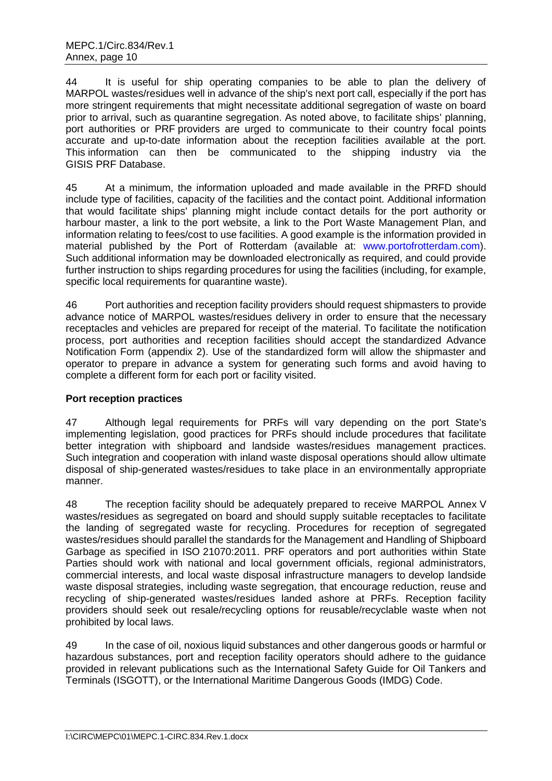44 It is useful for ship operating companies to be able to plan the delivery of MARPOL wastes/residues well in advance of the ship's next port call, especially if the port has more stringent requirements that might necessitate additional segregation of waste on board prior to arrival, such as quarantine segregation. As noted above, to facilitate ships' planning, port authorities or PRF providers are urged to communicate to their country focal points accurate and up-to-date information about the reception facilities available at the port. This information can then be communicated to the shipping industry via the GISIS PRF Database.

45 At a minimum, the information uploaded and made available in the PRFD should include type of facilities, capacity of the facilities and the contact point. Additional information that would facilitate ships' planning might include contact details for the port authority or harbour master, a link to the port website, a link to the Port Waste Management Plan, and information relating to fees/cost to use facilities. A good example is the information provided in material published by the Port of Rotterdam (available at: [www.portofrotterdam.com\)](http://www.portofrotterdam.com/). Such additional information may be downloaded electronically as required, and could provide further instruction to ships regarding procedures for using the facilities (including, for example, specific local requirements for quarantine waste).

46 Port authorities and reception facility providers should request shipmasters to provide advance notice of MARPOL wastes/residues delivery in order to ensure that the necessary receptacles and vehicles are prepared for receipt of the material. To facilitate the notification process, port authorities and reception facilities should accept the standardized Advance Notification Form (appendix 2). Use of the standardized form will allow the shipmaster and operator to prepare in advance a system for generating such forms and avoid having to complete a different form for each port or facility visited.

### <span id="page-11-0"></span>**Port reception practices**

47 Although legal requirements for PRFs will vary depending on the port State's implementing legislation, good practices for PRFs should include procedures that facilitate better integration with shipboard and landside wastes/residues management practices. Such integration and cooperation with inland waste disposal operations should allow ultimate disposal of ship-generated wastes/residues to take place in an environmentally appropriate manner.

48 The reception facility should be adequately prepared to receive MARPOL Annex V wastes/residues as segregated on board and should supply suitable receptacles to facilitate the landing of segregated waste for recycling. Procedures for reception of segregated wastes/residues should parallel the standards for the Management and Handling of Shipboard Garbage as specified in ISO 21070:2011. PRF operators and port authorities within State Parties should work with national and local government officials, regional administrators, commercial interests, and local waste disposal infrastructure managers to develop landside waste disposal strategies, including waste segregation, that encourage reduction, reuse and recycling of ship-generated wastes/residues landed ashore at PRFs. Reception facility providers should seek out resale/recycling options for reusable/recyclable waste when not prohibited by local laws.

49 In the case of oil, noxious liquid substances and other dangerous goods or harmful or hazardous substances, port and reception facility operators should adhere to the guidance provided in relevant publications such as the International Safety Guide for Oil Tankers and Terminals (ISGOTT), or the International Maritime Dangerous Goods (IMDG) Code.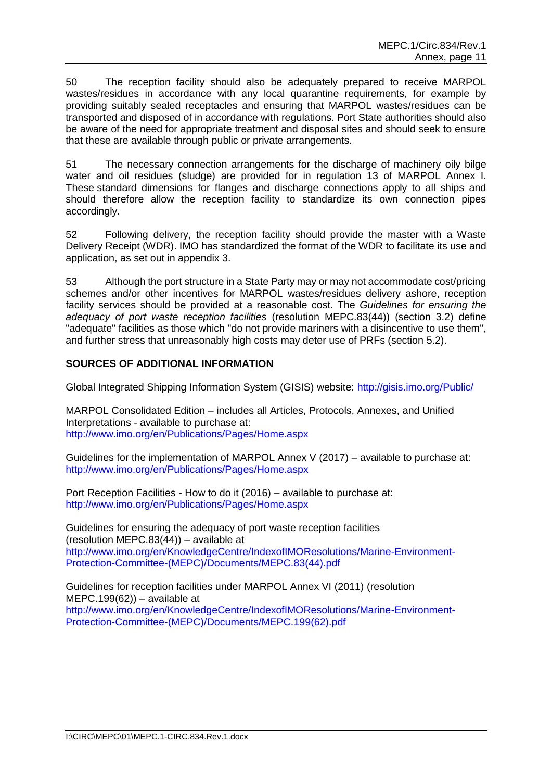50 The reception facility should also be adequately prepared to receive MARPOL wastes/residues in accordance with any local quarantine requirements, for example by providing suitably sealed receptacles and ensuring that MARPOL wastes/residues can be transported and disposed of in accordance with regulations. Port State authorities should also be aware of the need for appropriate treatment and disposal sites and should seek to ensure that these are available through public or private arrangements.

51 The necessary connection arrangements for the discharge of machinery oily bilge water and oil residues (sludge) are provided for in regulation 13 of MARPOL Annex I. These standard dimensions for flanges and discharge connections apply to all ships and should therefore allow the reception facility to standardize its own connection pipes accordingly.

52 Following delivery, the reception facility should provide the master with a Waste Delivery Receipt (WDR). IMO has standardized the format of the WDR to facilitate its use and application, as set out in appendix 3.

53 Although the port structure in a State Party may or may not accommodate cost/pricing schemes and/or other incentives for MARPOL wastes/residues delivery ashore, reception facility services should be provided at a reasonable cost. The *Guidelines for ensuring the adequacy of port waste reception facilities* (resolution MEPC.83(44)) (section 3.2) define "adequate" facilities as those which "do not provide mariners with a disincentive to use them", and further stress that unreasonably high costs may deter use of PRFs (section 5.2).

### <span id="page-12-0"></span>**SOURCES OF ADDITIONAL INFORMATION**

Global Integrated Shipping Information System (GISIS) website:<http://gisis.imo.org/Public/>

MARPOL Consolidated Edition – includes all Articles, Protocols, Annexes, and Unified Interpretations - available to purchase at: <http://www.imo.org/en/Publications/Pages/Home.aspx>

Guidelines for the implementation of MARPOL Annex V (2017) – available to purchase at: <http://www.imo.org/en/Publications/Pages/Home.aspx>

Port Reception Facilities - How to do it (2016) – available to purchase at: <http://www.imo.org/en/Publications/Pages/Home.aspx>

Guidelines for ensuring the adequacy of port waste reception facilities (resolution MEPC.83(44)) – available at [http://www.imo.org/en/KnowledgeCentre/IndexofIMOResolutions/Marine-Environment-](http://www.imo.org/en/KnowledgeCentre/IndexofIMOResolutions/Marine-Environment-Protection-Committee-(MEPC)/Documents/MEPC.83(44).pdf)[Protection-Committee-\(MEPC\)/Documents/MEPC.83\(44\).pdf](http://www.imo.org/en/KnowledgeCentre/IndexofIMOResolutions/Marine-Environment-Protection-Committee-(MEPC)/Documents/MEPC.83(44).pdf)

Guidelines for reception facilities under MARPOL Annex VI (2011) (resolution MEPC.199(62)) – available at [http://www.imo.org/en/KnowledgeCentre/IndexofIMOResolutions/Marine-Environment-](http://www.imo.org/en/KnowledgeCentre/IndexofIMOResolutions/Marine-Environment-Protection-Committee-(MEPC)/Documents/MEPC.199(62).pdf)[Protection-Committee-\(MEPC\)/Documents/MEPC.199\(62\).pdf](http://www.imo.org/en/KnowledgeCentre/IndexofIMOResolutions/Marine-Environment-Protection-Committee-(MEPC)/Documents/MEPC.199(62).pdf)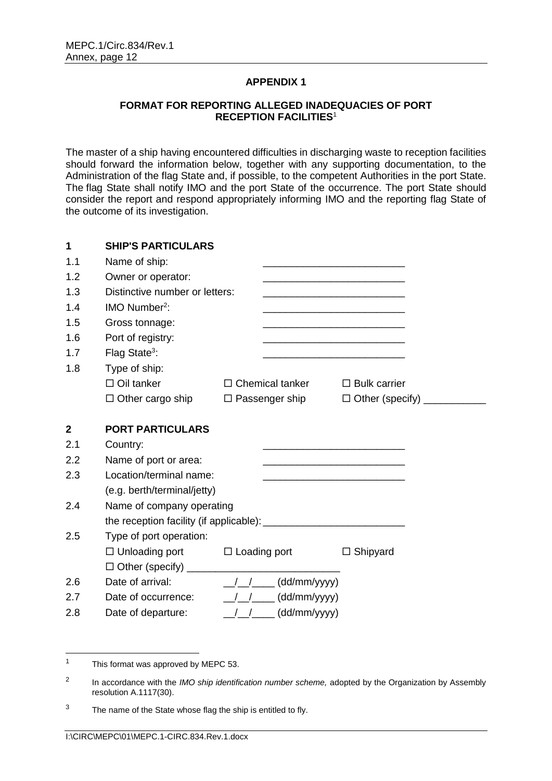#### <span id="page-13-0"></span>**FORMAT FOR REPORTING ALLEGED INADEQUACIES OF PORT RECEPTION FACILITIES**<sup>1</sup>

<span id="page-13-1"></span>The master of a ship having encountered difficulties in discharging waste to reception facilities should forward the information below, together with any supporting documentation, to the Administration of the flag State and, if possible, to the competent Authorities in the port State. The flag State shall notify IMO and the port State of the occurrence. The port State should consider the report and respond appropriately informing IMO and the reporting flag State of the outcome of its investigation.

| 1              | <b>SHIP'S PARTICULARS</b>                 |                                                                                                                       |                     |  |
|----------------|-------------------------------------------|-----------------------------------------------------------------------------------------------------------------------|---------------------|--|
| 1.1            | Name of ship:                             | <u> 1989 - Johann Barbara, martin amerikan basal dan berasal dan berasal dari berasal dalam berasal dalam berasal</u> |                     |  |
| 1.2            | Owner or operator:                        |                                                                                                                       |                     |  |
| 1.3            | Distinctive number or letters:            |                                                                                                                       |                     |  |
| 1.4            | IMO Number <sup>2</sup> :                 | <u> 1989 - Johann Barbara, martxa alemaniar argumento de la contrada de la contrada de la contrada de la contrad</u>  |                     |  |
| 1.5            | Gross tonnage:                            |                                                                                                                       |                     |  |
| 1.6            | Port of registry:                         |                                                                                                                       |                     |  |
| 1.7            | Flag State <sup>3</sup> :                 | <u> 1980 - Johann Barn, mars ann an t-Amhain Aonaich an t-Aonaich an t-Aonaich an t-Aonaich an t-Aonaich an t-Aon</u> |                     |  |
| 1.8            | Type of ship:                             |                                                                                                                       |                     |  |
|                | $\Box$ Oil tanker                         | $\Box$ Chemical tanker                                                                                                | $\Box$ Bulk carrier |  |
|                | $\Box$ Other cargo ship                   | $\Box$ Passenger ship                                                                                                 |                     |  |
| $\overline{2}$ | <b>PORT PARTICULARS</b>                   |                                                                                                                       |                     |  |
| 2.1            | Country:                                  |                                                                                                                       |                     |  |
| 2.2            | Name of port or area:                     |                                                                                                                       |                     |  |
| 2.3            | Location/terminal name:                   |                                                                                                                       |                     |  |
|                | (e.g. berth/terminal/jetty)               |                                                                                                                       |                     |  |
| 2.4            | Name of company operating                 |                                                                                                                       |                     |  |
|                |                                           |                                                                                                                       |                     |  |
| 2.5            | Type of port operation:                   |                                                                                                                       |                     |  |
|                | $\Box$ Unloading port $\Box$ Loading port |                                                                                                                       | $\Box$ Shipyard     |  |
|                |                                           |                                                                                                                       |                     |  |
| 2.6            | Date of arrival:                          | $\frac{1}{2}$ / $\frac{1}{2}$ (dd/mm/yyyy)                                                                            |                     |  |
| 2.7            | Date of occurrence:                       | $\frac{1}{2}$ / $\frac{1}{2}$ (dd/mm/yyyy)                                                                            |                     |  |
| 2.8            | Date of departure:                        | $\frac{1}{2}$ / $\frac{1}{2}$ (dd/mm/yyyy)                                                                            |                     |  |

<sup>1</sup> This format was approved by MEPC 53.

<sup>2</sup> In accordance with the *IMO ship identification number scheme,* adopted by the Organization by Assembly resolution A.1117(30).

<sup>&</sup>lt;sup>3</sup> The name of the State whose flag the ship is entitled to fly.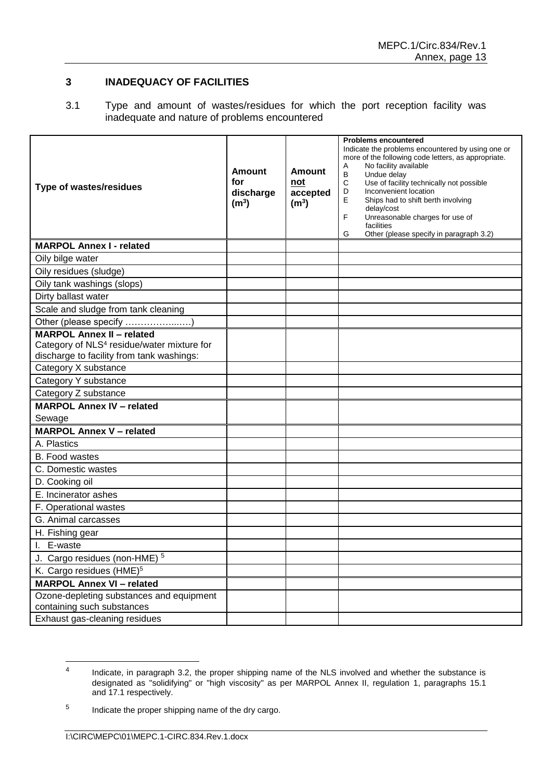### **3 INADEQUACY OF FACILITIES**

3.1 Type and amount of wastes/residues for which the port reception facility was inadequate and nature of problems encountered

| <b>Type of wastes/residues</b>                                                                                                          | <b>Amount</b><br>for<br>discharge<br>(m <sup>3</sup> ) | <b>Amount</b><br>not<br>accepted<br>(m <sup>3</sup> ) | <b>Problems encountered</b><br>Indicate the problems encountered by using one or<br>more of the following code letters, as appropriate.<br>No facility available<br>Α<br>B<br>Undue delay<br>$\mathbf C$<br>Use of facility technically not possible<br>D<br>Inconvenient location<br>E<br>Ships had to shift berth involving<br>delay/cost<br>F<br>Unreasonable charges for use of<br>facilities<br>Other (please specify in paragraph 3.2)<br>G |
|-----------------------------------------------------------------------------------------------------------------------------------------|--------------------------------------------------------|-------------------------------------------------------|---------------------------------------------------------------------------------------------------------------------------------------------------------------------------------------------------------------------------------------------------------------------------------------------------------------------------------------------------------------------------------------------------------------------------------------------------|
| <b>MARPOL Annex I - related</b>                                                                                                         |                                                        |                                                       |                                                                                                                                                                                                                                                                                                                                                                                                                                                   |
| Oily bilge water                                                                                                                        |                                                        |                                                       |                                                                                                                                                                                                                                                                                                                                                                                                                                                   |
| Oily residues (sludge)                                                                                                                  |                                                        |                                                       |                                                                                                                                                                                                                                                                                                                                                                                                                                                   |
| Oily tank washings (slops)                                                                                                              |                                                        |                                                       |                                                                                                                                                                                                                                                                                                                                                                                                                                                   |
| Dirty ballast water                                                                                                                     |                                                        |                                                       |                                                                                                                                                                                                                                                                                                                                                                                                                                                   |
| Scale and sludge from tank cleaning                                                                                                     |                                                        |                                                       |                                                                                                                                                                                                                                                                                                                                                                                                                                                   |
| Other (please specify )                                                                                                                 |                                                        |                                                       |                                                                                                                                                                                                                                                                                                                                                                                                                                                   |
| <b>MARPOL Annex II - related</b><br>Category of NLS <sup>4</sup> residue/water mixture for<br>discharge to facility from tank washings: |                                                        |                                                       |                                                                                                                                                                                                                                                                                                                                                                                                                                                   |
| Category X substance                                                                                                                    |                                                        |                                                       |                                                                                                                                                                                                                                                                                                                                                                                                                                                   |
| Category Y substance                                                                                                                    |                                                        |                                                       |                                                                                                                                                                                                                                                                                                                                                                                                                                                   |
| Category Z substance                                                                                                                    |                                                        |                                                       |                                                                                                                                                                                                                                                                                                                                                                                                                                                   |
| <b>MARPOL Annex IV - related</b><br>Sewage                                                                                              |                                                        |                                                       |                                                                                                                                                                                                                                                                                                                                                                                                                                                   |
| <b>MARPOL Annex V - related</b>                                                                                                         |                                                        |                                                       |                                                                                                                                                                                                                                                                                                                                                                                                                                                   |
| A. Plastics                                                                                                                             |                                                        |                                                       |                                                                                                                                                                                                                                                                                                                                                                                                                                                   |
| <b>B.</b> Food wastes                                                                                                                   |                                                        |                                                       |                                                                                                                                                                                                                                                                                                                                                                                                                                                   |
| C. Domestic wastes                                                                                                                      |                                                        |                                                       |                                                                                                                                                                                                                                                                                                                                                                                                                                                   |
| D. Cooking oil                                                                                                                          |                                                        |                                                       |                                                                                                                                                                                                                                                                                                                                                                                                                                                   |
| E. Incinerator ashes                                                                                                                    |                                                        |                                                       |                                                                                                                                                                                                                                                                                                                                                                                                                                                   |
| F. Operational wastes                                                                                                                   |                                                        |                                                       |                                                                                                                                                                                                                                                                                                                                                                                                                                                   |
| G. Animal carcasses                                                                                                                     |                                                        |                                                       |                                                                                                                                                                                                                                                                                                                                                                                                                                                   |
| H. Fishing gear                                                                                                                         |                                                        |                                                       |                                                                                                                                                                                                                                                                                                                                                                                                                                                   |
| I. E-waste                                                                                                                              |                                                        |                                                       |                                                                                                                                                                                                                                                                                                                                                                                                                                                   |
| J. Cargo residues (non-HME) <sup>5</sup>                                                                                                |                                                        |                                                       |                                                                                                                                                                                                                                                                                                                                                                                                                                                   |
| K. Cargo residues (HME) <sup>5</sup>                                                                                                    |                                                        |                                                       |                                                                                                                                                                                                                                                                                                                                                                                                                                                   |
| <b>MARPOL Annex VI - related</b>                                                                                                        |                                                        |                                                       |                                                                                                                                                                                                                                                                                                                                                                                                                                                   |
| Ozone-depleting substances and equipment<br>containing such substances                                                                  |                                                        |                                                       |                                                                                                                                                                                                                                                                                                                                                                                                                                                   |
| Exhaust gas-cleaning residues                                                                                                           |                                                        |                                                       |                                                                                                                                                                                                                                                                                                                                                                                                                                                   |

 $\overline{4}$ Indicate, in paragraph 3.2, the proper shipping name of the NLS involved and whether the substance is designated as "solidifying" or "high viscosity" as per MARPOL Annex II, regulation 1, paragraphs 15.1 and 17.1 respectively.

<sup>5</sup> Indicate the proper shipping name of the dry cargo.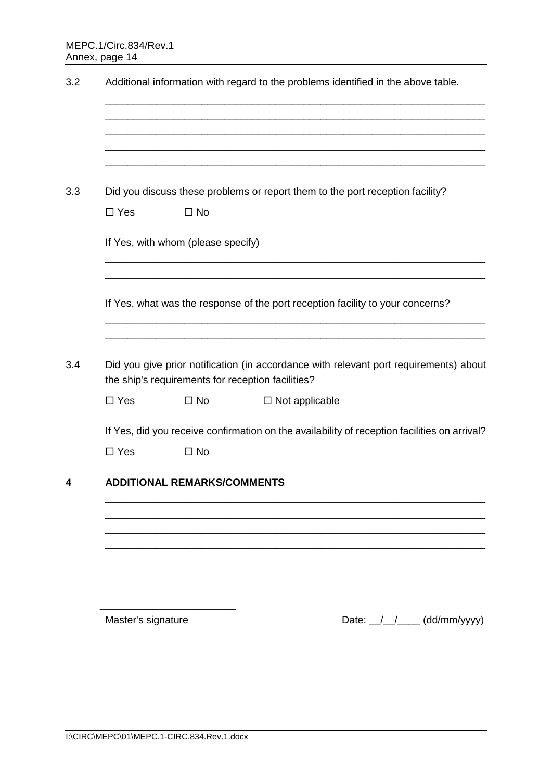| $\square$ Yes | $\square$ No                       | Did you discuss these problems or report them to the port reception facility?                                                              |
|---------------|------------------------------------|--------------------------------------------------------------------------------------------------------------------------------------------|
|               | If Yes, with whom (please specify) |                                                                                                                                            |
|               |                                    | If Yes, what was the response of the port reception facility to your concerns?                                                             |
|               |                                    | Did you give prior notification (in accordance with relevant port requirements) about<br>the ship's requirements for reception facilities? |
| $\square$ Yes | $\square$ No                       | $\Box$ Not applicable                                                                                                                      |
|               |                                    | If Yes, did you receive confirmation on the availability of reception facilities on arrival?                                               |
| $\square$ Yes | $\square$ No                       |                                                                                                                                            |
|               | <b>ADDITIONAL REMARKS/COMMENTS</b> |                                                                                                                                            |
|               |                                    |                                                                                                                                            |
|               |                                    |                                                                                                                                            |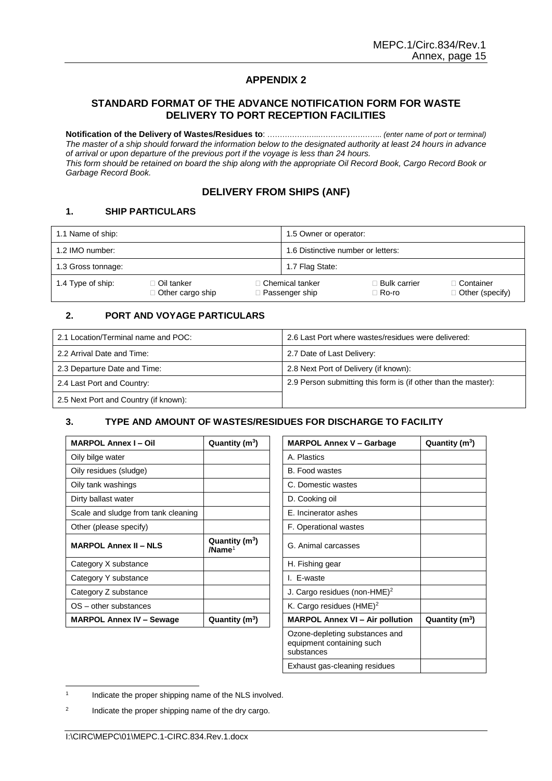#### <span id="page-16-1"></span><span id="page-16-0"></span>**STANDARD FORMAT OF THE ADVANCE NOTIFICATION FORM FOR WASTE DELIVERY TO PORT RECEPTION FACILITIES**

**Notification of the Delivery of Wastes/Residues to**: …………….…..…………………….. *(enter name of port or terminal) The master of a ship should forward the information below to the designated authority at least 24 hours in advance of arrival or upon departure of the previous port if the voyage is less than 24 hours. This form should be retained on board the ship along with the appropriate Oil Record Book, Cargo Record Book or Garbage Record Book.*

#### **DELIVERY FROM SHIPS (ANF)**

#### **1. SHIP PARTICULARS**

| 1.1 Name of ship:                                       |  |                                            | 1.5 Owner or operator:         |                                      |  |
|---------------------------------------------------------|--|--------------------------------------------|--------------------------------|--------------------------------------|--|
| 1.2 IMO number:                                         |  | 1.6 Distinctive number or letters:         |                                |                                      |  |
| 1.3 Gross tonnage:                                      |  | 1.7 Flag State:                            |                                |                                      |  |
| 1.4 Type of ship:<br>⊺ Oil tanker<br>□ Other cargo ship |  | <b>Chemical tanker</b><br>□ Passenger ship | ⊟ Bulk carrier<br>$\Box$ Ro-ro | ⊺Container<br>$\Box$ Other (specify) |  |

#### **2. PORT AND VOYAGE PARTICULARS**

| 2.1 Location/Terminal name and POC:   | 2.6 Last Port where wastes/residues were delivered:            |
|---------------------------------------|----------------------------------------------------------------|
| 2.2 Arrival Date and Time:            | 2.7 Date of Last Delivery:                                     |
| 2.3 Departure Date and Time:          | 2.8 Next Port of Delivery (if known):                          |
| 2.4 Last Port and Country:            | 2.9 Person submitting this form is (if other than the master): |
| 2.5 Next Port and Country (if known): |                                                                |

#### **3. TYPE AND AMOUNT OF WASTES/RESIDUES FOR DISCHARGE TO FACILITY**

| <b>MARPOL Annex I-Oil</b>           | Quantity $(m^3)$                       | <b>MARPOL Annex V - Garbag</b>           |  |
|-------------------------------------|----------------------------------------|------------------------------------------|--|
| Oily bilge water                    |                                        | A. Plastics                              |  |
| Oily residues (sludge)              |                                        | B. Food wastes                           |  |
| Oily tank washings                  |                                        | C. Domestic wastes                       |  |
| Dirty ballast water                 |                                        | D. Cooking oil                           |  |
| Scale and sludge from tank cleaning |                                        | E. Incinerator ashes                     |  |
| Other (please specify)              |                                        | F. Operational wastes                    |  |
| <b>MARPOL Annex II - NLS</b>        | Quantity $(m^3)$<br>/Name <sup>1</sup> | G. Animal carcasses                      |  |
| Category X substance                |                                        | H. Fishing gear                          |  |
| Category Y substance                |                                        | I. E-waste                               |  |
| Category Z substance                |                                        | J. Cargo residues (non-HME) <sup>2</sup> |  |
| OS – other substances               |                                        | K. Cargo residues $(HME)^2$              |  |
| <b>MARPOL Annex IV - Sewage</b>     | Quantity $(m^3)$                       | <b>MARPOL Annex VI - Air poll</b>        |  |

| Quantity (m <sup>3</sup> )             | <b>MARPOL Annex V - Garbage</b>                                           | Quantity $(m^3)$ |
|----------------------------------------|---------------------------------------------------------------------------|------------------|
|                                        | A. Plastics                                                               |                  |
|                                        | <b>B.</b> Food wastes                                                     |                  |
|                                        | C. Domestic wastes                                                        |                  |
|                                        | D. Cooking oil                                                            |                  |
|                                        | <b>F.</b> Incinerator ashes                                               |                  |
|                                        | F. Operational wastes                                                     |                  |
| Quantity $(m^3)$<br>/Name <sup>1</sup> | G. Animal carcasses                                                       |                  |
|                                        | H. Fishing gear                                                           |                  |
|                                        | I. E-waste                                                                |                  |
|                                        | J. Cargo residues (non-HME) <sup>2</sup>                                  |                  |
|                                        | K. Cargo residues (HME) <sup>2</sup>                                      |                  |
| Quantity $(m^3)$                       | <b>MARPOL Annex VI - Air pollution</b>                                    | Quantity $(m^3)$ |
|                                        | Ozone-depleting substances and<br>equipment containing such<br>substances |                  |
|                                        | Exhaust gas-cleaning residues                                             |                  |

 1 Indicate the proper shipping name of the NLS involved.

2 Indicate the proper shipping name of the dry cargo.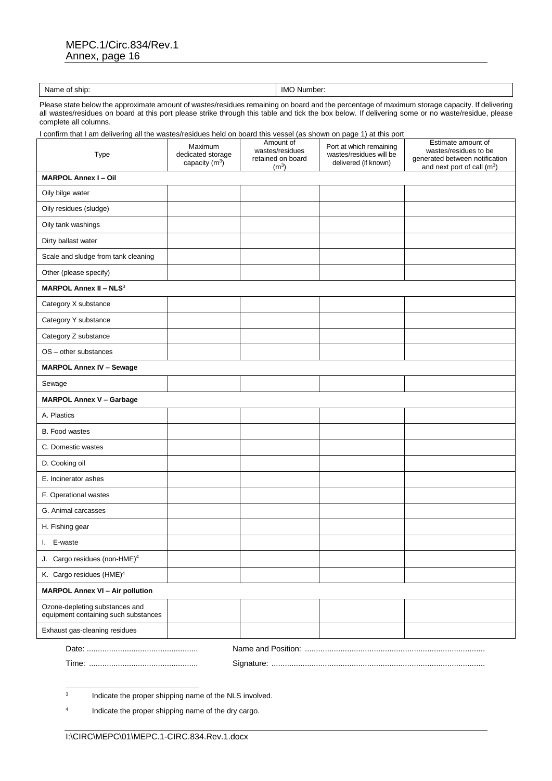#### MEPC.1/Circ.834/Rev.1 Annex, page 16

| Name<br>ship:<br>v<br>. | IMC<br>∕ Number |
|-------------------------|-----------------|

Please state below the approximate amount of wastes/residues remaining on board and the percentage of maximum storage capacity. If delivering all wastes/residues on board at this port please strike through this table and tick the box below. If delivering some or no waste/residue, please complete all columns.

I confirm that I am delivering all the wastes/residues held on board this vessel (as shown on page 1) at this port

| Type                                                                   | Maximum<br>dedicated storage<br>capacity $(m^3)$ | Amount of<br>wastes/residues<br>retained on board<br>(m <sup>3</sup> ) | Port at which remaining<br>wastes/residues will be<br>delivered (if known) | Estimate amount of<br>wastes/residues to be<br>generated between notification<br>and next port of call (m <sup>3</sup> ) |
|------------------------------------------------------------------------|--------------------------------------------------|------------------------------------------------------------------------|----------------------------------------------------------------------------|--------------------------------------------------------------------------------------------------------------------------|
| <b>MARPOL Annex I-Oil</b>                                              |                                                  |                                                                        |                                                                            |                                                                                                                          |
| Oily bilge water                                                       |                                                  |                                                                        |                                                                            |                                                                                                                          |
| Oily residues (sludge)                                                 |                                                  |                                                                        |                                                                            |                                                                                                                          |
| Oily tank washings                                                     |                                                  |                                                                        |                                                                            |                                                                                                                          |
| Dirty ballast water                                                    |                                                  |                                                                        |                                                                            |                                                                                                                          |
| Scale and sludge from tank cleaning                                    |                                                  |                                                                        |                                                                            |                                                                                                                          |
| Other (please specify)                                                 |                                                  |                                                                        |                                                                            |                                                                                                                          |
| <b>MARPOL Annex II - NLS3</b>                                          |                                                  |                                                                        |                                                                            |                                                                                                                          |
| Category X substance                                                   |                                                  |                                                                        |                                                                            |                                                                                                                          |
| Category Y substance                                                   |                                                  |                                                                        |                                                                            |                                                                                                                          |
| Category Z substance                                                   |                                                  |                                                                        |                                                                            |                                                                                                                          |
| OS - other substances                                                  |                                                  |                                                                        |                                                                            |                                                                                                                          |
| <b>MARPOL Annex IV - Sewage</b>                                        |                                                  |                                                                        |                                                                            |                                                                                                                          |
| Sewage                                                                 |                                                  |                                                                        |                                                                            |                                                                                                                          |
| <b>MARPOL Annex V - Garbage</b>                                        |                                                  |                                                                        |                                                                            |                                                                                                                          |
| A. Plastics                                                            |                                                  |                                                                        |                                                                            |                                                                                                                          |
| B. Food wastes                                                         |                                                  |                                                                        |                                                                            |                                                                                                                          |
| C. Domestic wastes                                                     |                                                  |                                                                        |                                                                            |                                                                                                                          |
| D. Cooking oil                                                         |                                                  |                                                                        |                                                                            |                                                                                                                          |
| E. Incinerator ashes                                                   |                                                  |                                                                        |                                                                            |                                                                                                                          |
| F. Operational wastes                                                  |                                                  |                                                                        |                                                                            |                                                                                                                          |
| G. Animal carcasses                                                    |                                                  |                                                                        |                                                                            |                                                                                                                          |
| H. Fishing gear                                                        |                                                  |                                                                        |                                                                            |                                                                                                                          |
| I. E-waste                                                             |                                                  |                                                                        |                                                                            |                                                                                                                          |
| J. Cargo residues (non-HME) <sup>4</sup>                               |                                                  |                                                                        |                                                                            |                                                                                                                          |
| K. Cargo residues (HME) <sup>4</sup>                                   |                                                  |                                                                        |                                                                            |                                                                                                                          |
| <b>MARPOL Annex VI - Air pollution</b>                                 |                                                  |                                                                        |                                                                            |                                                                                                                          |
| Ozone-depleting substances and<br>equipment containing such substances |                                                  |                                                                        |                                                                            |                                                                                                                          |
| Exhaust gas-cleaning residues                                          |                                                  |                                                                        |                                                                            |                                                                                                                          |
|                                                                        |                                                  |                                                                        |                                                                            |                                                                                                                          |

Time: ................................................. Signature: ................................................................................................

-<br>3 Indicate the proper shipping name of the NLS involved.

4 Indicate the proper shipping name of the dry cargo.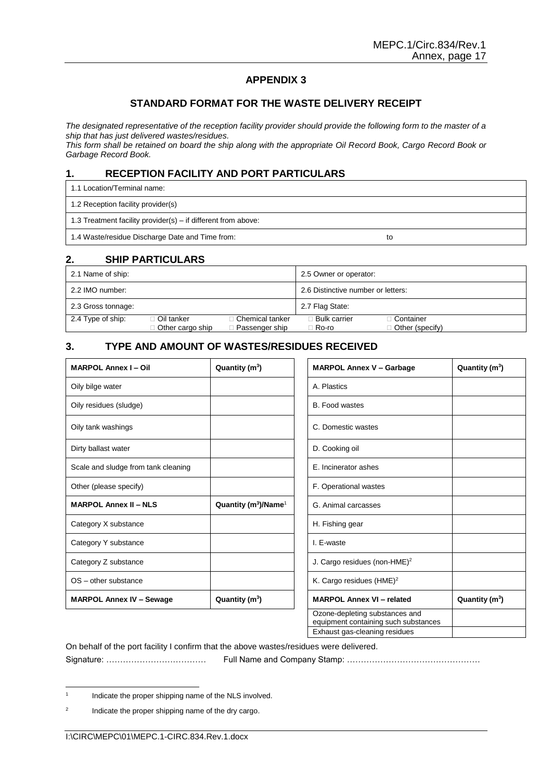#### **STANDARD FORMAT FOR THE WASTE DELIVERY RECEIPT**

<span id="page-18-1"></span><span id="page-18-0"></span>*The designated representative of the reception facility provider should provide the following form to the master of a ship that has just delivered wastes/residues.*

*This form shall be retained on board the ship along with the appropriate Oil Record Book, Cargo Record Book or Garbage Record Book.*

### **1. RECEPTION FACILITY AND PORT PARTICULARS**

1.1 Location/Terminal name:

1.2 Reception facility provider(s)

1.3 Treatment facility provider(s) – if different from above:

1.4 Waste/residue Discharge Date and Time from: to

#### **2. SHIP PARTICULARS**

| 2.1 Name of ship:  |                                    |                                     | 2.5 Owner or operator:             |                                  |
|--------------------|------------------------------------|-------------------------------------|------------------------------------|----------------------------------|
| 2.2 IMO number:    |                                    |                                     | 2.6 Distinctive number or letters: |                                  |
| 2.3 Gross tonnage: |                                    |                                     | 2.7 Flag State:                    |                                  |
| 2.4 Type of ship:  | ⊟ Oil tanker<br>□ Other cargo ship | ∃ Chemical tanker<br>Passenger ship | ∃ Bulk carrier<br>⊟ Ro-ro          | ⊺ Container<br>□ Other (specify) |

### **3. TYPE AND AMOUNT OF WASTES/RESIDUES RECEIVED**

| <b>MARPOL Annex I - Oil</b>         | Quantity $(m^3)$                     | <b>MARPOL Annex V - Garbage</b>                                        | Quantity $(m^3)$ |
|-------------------------------------|--------------------------------------|------------------------------------------------------------------------|------------------|
| Oily bilge water                    |                                      | A. Plastics                                                            |                  |
| Oily residues (sludge)              |                                      | <b>B.</b> Food wastes                                                  |                  |
| Oily tank washings                  |                                      | C. Domestic wastes                                                     |                  |
| Dirty ballast water                 |                                      | D. Cooking oil                                                         |                  |
| Scale and sludge from tank cleaning |                                      | E. Incinerator ashes                                                   |                  |
| Other (please specify)              |                                      | F. Operational wastes                                                  |                  |
| <b>MARPOL Annex II - NLS</b>        | Quantity ( $m^3$ )/Name <sup>1</sup> | G. Animal carcasses                                                    |                  |
| Category X substance                |                                      | H. Fishing gear                                                        |                  |
| Category Y substance                |                                      | I. E-waste                                                             |                  |
| Category Z substance                |                                      | J. Cargo residues (non-HME) $^2$                                       |                  |
| $OS$ – other substance              |                                      | K. Cargo residues $(HME)^2$                                            |                  |
| <b>MARPOL Annex IV - Sewage</b>     | Quantity $(m^3)$                     | <b>MARPOL Annex VI - related</b>                                       | Quantity $(m^3)$ |
|                                     |                                      | Ozone-depleting substances and<br>equipment containing such substances |                  |

Exhaust gas-cleaning residues

On behalf of the port facility I confirm that the above wastes/residues were delivered.

Signature: ……………………………… Full Name and Company Stamp: …………………………………………

 $\frac{1}{1}$ Indicate the proper shipping name of the NLS involved.

<sup>2</sup> Indicate the proper shipping name of the dry cargo.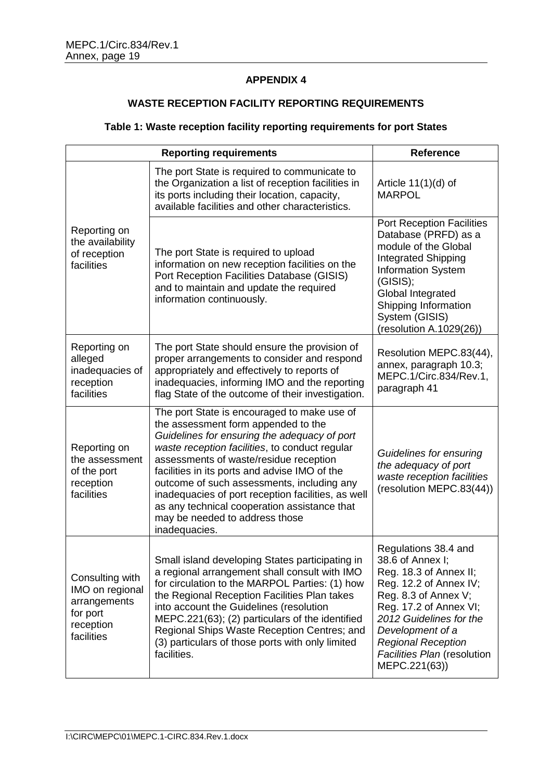# **WASTE RECEPTION FACILITY REPORTING REQUIREMENTS**

# <span id="page-20-0"></span>**Table 1: Waste reception facility reporting requirements for port States**

<span id="page-20-1"></span>

| <b>Reporting requirements</b>                                                             |                                                                                                                                                                                                                                                                                                                                                                                                                                                                                        | <b>Reference</b>                                                                                                                                                                                                                                                           |
|-------------------------------------------------------------------------------------------|----------------------------------------------------------------------------------------------------------------------------------------------------------------------------------------------------------------------------------------------------------------------------------------------------------------------------------------------------------------------------------------------------------------------------------------------------------------------------------------|----------------------------------------------------------------------------------------------------------------------------------------------------------------------------------------------------------------------------------------------------------------------------|
|                                                                                           | The port State is required to communicate to<br>the Organization a list of reception facilities in<br>its ports including their location, capacity,<br>available facilities and other characteristics.                                                                                                                                                                                                                                                                                 | Article $11(1)(d)$ of<br><b>MARPOL</b>                                                                                                                                                                                                                                     |
| Reporting on<br>the availability<br>of reception<br>facilities                            | The port State is required to upload<br>information on new reception facilities on the<br>Port Reception Facilities Database (GISIS)<br>and to maintain and update the required<br>information continuously.                                                                                                                                                                                                                                                                           | <b>Port Reception Facilities</b><br>Database (PRFD) as a<br>module of the Global<br>Integrated Shipping<br><b>Information System</b><br>(GISIS);<br>Global Integrated<br>Shipping Information<br>System (GISIS)<br>(resolution A.1029(26))                                 |
| Reporting on<br>alleged<br>inadequacies of<br>reception<br>facilities                     | The port State should ensure the provision of<br>proper arrangements to consider and respond<br>appropriately and effectively to reports of<br>inadequacies, informing IMO and the reporting<br>flag State of the outcome of their investigation.                                                                                                                                                                                                                                      | Resolution MEPC.83(44),<br>annex, paragraph 10.3;<br>MEPC.1/Circ.834/Rev.1,<br>paragraph 41                                                                                                                                                                                |
| Reporting on<br>the assessment<br>of the port<br>reception<br>facilities                  | The port State is encouraged to make use of<br>the assessment form appended to the<br>Guidelines for ensuring the adequacy of port<br>waste reception facilities, to conduct regular<br>assessments of waste/residue reception<br>facilities in its ports and advise IMO of the<br>outcome of such assessments, including any<br>inadequacies of port reception facilities, as well<br>as any technical cooperation assistance that<br>may be needed to address those<br>inadequacies. | Guidelines for ensuring<br>the adequacy of port<br>waste reception facilities<br>(resolution MEPC.83(44))                                                                                                                                                                  |
| Consulting with<br>IMO on regional<br>arrangements<br>for port<br>reception<br>facilities | Small island developing States participating in<br>a regional arrangement shall consult with IMO<br>for circulation to the MARPOL Parties: (1) how<br>the Regional Reception Facilities Plan takes<br>into account the Guidelines (resolution<br>MEPC.221(63); (2) particulars of the identified<br>Regional Ships Waste Reception Centres; and<br>(3) particulars of those ports with only limited<br>facilities.                                                                     | Regulations 38.4 and<br>38.6 of Annex I;<br>Reg. 18.3 of Annex II;<br>Reg. 12.2 of Annex IV;<br>Reg. 8.3 of Annex V;<br>Reg. 17.2 of Annex VI;<br>2012 Guidelines for the<br>Development of a<br><b>Regional Reception</b><br>Facilities Plan (resolution<br>MEPC.221(63)) |